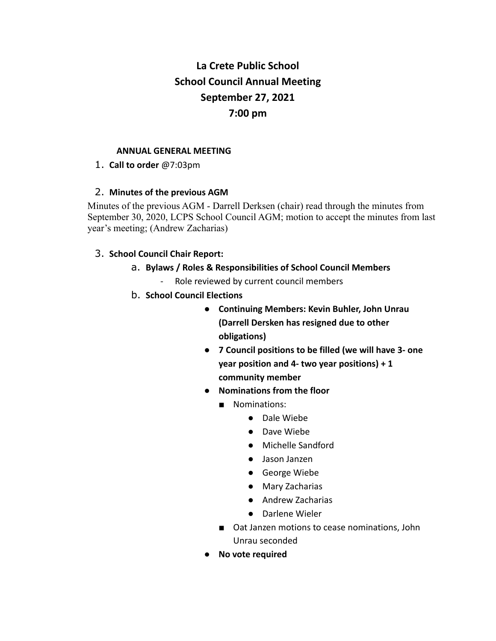# **La Crete Public School School Council Annual Meeting September 27, 2021 7:00 pm**

#### **ANNUAL GENERAL MEETING**

1. **Call to order** @7:03pm

# 2. **Minutes of the previous AGM**

Minutes of the previous AGM - Darrell Derksen (chair) read through the minutes from September 30, 2020, LCPS School Council AGM; motion to accept the minutes from last year's meeting; (Andrew Zacharias)

# 3. **School Council Chair Report:**

- a. **Bylaws / Roles & Responsibilities of School Council Members**
	- Role reviewed by current council members
- b. **School Council Elections**
	- **Continuing Members: Kevin Buhler, John Unrau (Darrell Dersken has resigned due to other obligations)**
	- **7 Council positions to be filled (we will have 3- one year position and 4- two year positions) + 1 community member**
	- **Nominations from the floor**
		- Nominations:
			- Dale Wiebe
			- Dave Wiebe
			- Michelle Sandford
			- Jason Janzen
			- George Wiebe
			- Mary Zacharias
			- Andrew Zacharias
			- Darlene Wieler
		- Oat Janzen motions to cease nominations, John Unrau seconded
	- **No vote required**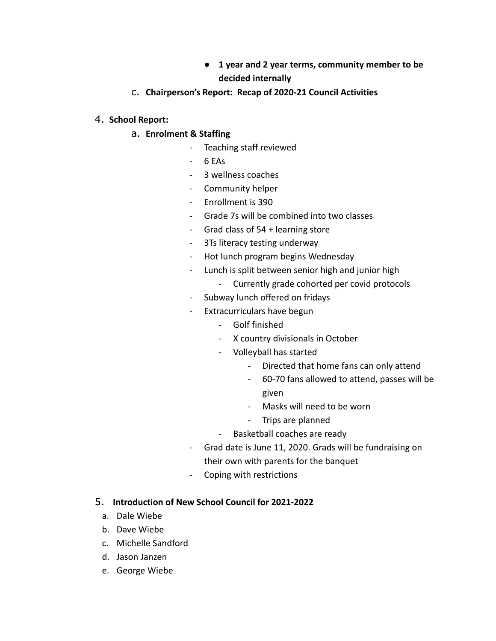- **● 1 year and 2 year terms, community member to be decided internally**
- c. **Chairperson's Report: Recap of 2020-21 Council Activities**

# 4. **School Report:**

# a. **Enrolment & Staffing**

- Teaching staff reviewed
- 6 EAs
- 3 wellness coaches
- Community helper
- Enrollment is 390
- Grade 7s will be combined into two classes
- Grad class of 54 + learning store
- 3Ts literacy testing underway
- Hot lunch program begins Wednesday
- Lunch is split between senior high and junior high
	- Currently grade cohorted per covid protocols
- Subway lunch offered on fridays
- Extracurriculars have begun
	- Golf finished
	- X country divisionals in October
	- Volleyball has started
		- Directed that home fans can only attend
		- 60-70 fans allowed to attend, passes will be given
		- Masks will need to be worn
		- Trips are planned
	- Basketball coaches are ready
- Grad date is June 11, 2020. Grads will be fundraising on their own with parents for the banquet
- Coping with restrictions

#### 5. **Introduction of New School Council for 2021-2022**

- a. Dale Wiebe
- b. Dave Wiebe
- c. Michelle Sandford
- d. Jason Janzen
- e. George Wiebe